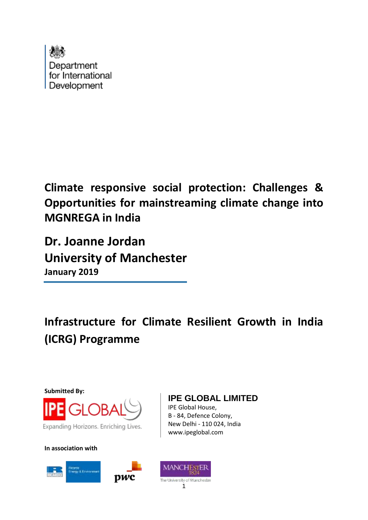

**Climate responsive social protection: Challenges & Opportunities for mainstreaming climate change into MGNREGA in India**

**Dr. Joanne Jordan University of Manchester January 2019**

**Infrastructure for Climate Resilient Growth in India (ICRG) Programme**

**Submitted By:** Expanding Horizons. Enriching Lives.

**In association with**







IPE Global House, B - 84, Defence Colony, New Delhi - 110 024, India

www.ipeglobal.com

**IPE GLOBAL LIMITED**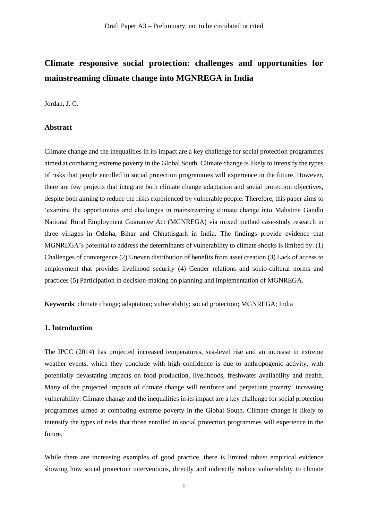# **Climate responsive social protection: challenges and opportunities for mainstreaming climate change into MGNREGA in India**

Jordan, J. C.

### **Abstract**

Climate change and the inequalities in its impact are a key challenge for social protection programmes aimed at combating extreme poverty in the Global South. Climate change is likely to intensify the types of risks that people enrolled in social protection programmes will experience in the future. However, there are few projects that integrate both climate change adaptation and social protection objectives, despite both aiming to reduce the risks experienced by vulnerable people. Therefore, this paper aims to 'examine the opportunities and challenges in mainstreaming climate change into Mahatma Gandhi National Rural Employment Guarantee Act (MGNREGA) via mixed method case-study research in three villages in Odisha, Bihar and Chhattisgarh in India. The findings provide evidence that MGNREGA's potential to address the determinants of vulnerability to climate shocks is limited by: (1) Challenges of convergence (2) Uneven distribution of benefits from asset creation (3) Lack of access to employment that provides livelihood security (4) Gender relations and socio-cultural norms and practices (5) Participation in decision-making on planning and implementation of MGNREGA.

**Keywords**: climate change; adaptation; vulnerability; social protection; MGNREGA; India

# **1. Introduction**

The IPCC (2014) has projected increased temperatures, sea-level rise and an increase in extreme weather events, which they conclude with high confidence is due to anthropogenic activity, with potentially devastating impacts on food production, livelihoods, freshwater availability and health. Many of the projected impacts of climate change will reinforce and perpetuate poverty, increasing vulnerability. Climate change and the inequalities in its impact are a key challenge for social protection programmes aimed at combating extreme poverty in the Global South. Climate change is likely to intensify the types of risks that those enrolled in social protection programmes will experience in the future.

While there are increasing examples of good practice, there is limited robust empirical evidence showing how social protection interventions, directly and indirectly reduce vulnerability to climate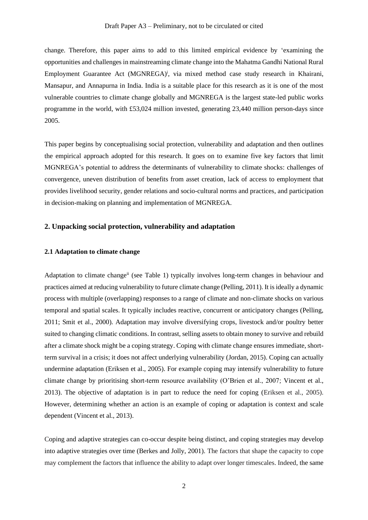change. Therefore, this paper aims to add to this limited empirical evidence by 'examining the opportunities and challenges in mainstreaming climate change into the Mahatma Gandhi National Rural Employment Guarantee Act (MGNREGA)<sup>i</sup>, via mixed method case study research in Khairani, Mansapur, and Annapurna in India. India is a suitable place for this research as it is one of the most vulnerable countries to climate change globally and MGNREGA is the largest state-led public works programme in the world, with £53,024 million invested, generating 23,440 million person-days since 2005.

This paper begins by conceptualising social protection, vulnerability and adaptation and then outlines the empirical approach adopted for this research. It goes on to examine five key factors that limit MGNREGA's potential to address the determinants of vulnerability to climate shocks: challenges of convergence, uneven distribution of benefits from asset creation, lack of access to employment that provides livelihood security, gender relations and socio-cultural norms and practices, and participation in decision-making on planning and implementation of MGNREGA.

### **2. Unpacking social protection, vulnerability and adaptation**

### **2.1 Adaptation to climate change**

Adaptation to climate changeii (see Table 1) typically involves long-term changes in behaviour and practices aimed at reducing vulnerability to future climate change (Pelling, 2011). It is ideally a dynamic process with multiple (overlapping) responses to a range of climate and non-climate shocks on various temporal and spatial scales. It typically includes reactive, concurrent or anticipatory changes (Pelling, 2011; Smit et al., 2000). Adaptation may involve diversifying crops, livestock and/or poultry better suited to changing climatic conditions. In contrast, selling assets to obtain money to survive and rebuild after a climate shock might be a coping strategy. Coping with climate change ensures immediate, shortterm survival in a crisis; it does not affect underlying vulnerability (Jordan, 2015). Coping can actually undermine adaptation (Eriksen et al., 2005). For example coping may intensify vulnerability to future climate change by prioritising short-term resource availability (O'Brien et al., 2007; Vincent et al., 2013). The objective of adaptation is in part to reduce the need for coping (Eriksen et al., 2005). However, determining whether an action is an example of coping or adaptation is context and scale dependent (Vincent et al., 2013).

Coping and adaptive strategies can co-occur despite being distinct, and coping strategies may develop into adaptive strategies over time (Berkes and Jolly, 2001). The factors that shape the capacity to cope may complement the factors that influence the ability to adapt over longer timescales. Indeed, the same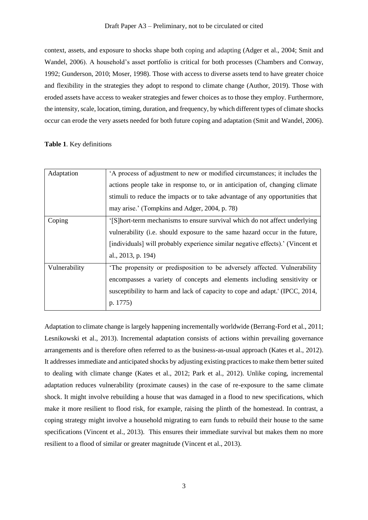context, assets, and exposure to shocks shape both coping and adapting (Adger et al., 2004; Smit and Wandel, 2006). A household's asset portfolio is critical for both processes (Chambers and Conway, 1992; Gunderson, 2010; Moser, 1998). Those with access to diverse assets tend to have greater choice and flexibility in the strategies they adopt to respond to climate change (Author, 2019). Those with eroded assets have access to weaker strategies and fewer choices as to those they employ. Furthermore, the intensity, scale, location, timing, duration, and frequency, by which different types of climate shocks occur can erode the very assets needed for both future coping and adaptation (Smit and Wandel, 2006).

### **Table 1**. Key definitions

| Adaptation    | 'A process of adjustment to new or modified circumstances; it includes the     |
|---------------|--------------------------------------------------------------------------------|
|               | actions people take in response to, or in anticipation of, changing climate    |
|               | stimuli to reduce the impacts or to take advantage of any opportunities that   |
|               | may arise.' (Tompkins and Adger, 2004, p. 78)                                  |
| Coping        | '[S] hort-term mechanisms to ensure survival which do not affect underlying    |
|               | vulnerability (i.e. should exposure to the same hazard occur in the future,    |
|               | [individuals] will probably experience similar negative effects).' (Vincent et |
|               | al., 2013, p. 194)                                                             |
| Vulnerability | The propensity or predisposition to be adversely affected. Vulnerability       |
|               | encompasses a variety of concepts and elements including sensitivity or        |
|               | susceptibility to harm and lack of capacity to cope and adapt. (IPCC, 2014,    |
|               | p. 1775)                                                                       |
|               |                                                                                |

Adaptation to climate change is largely happening incrementally worldwide (Berrang-Ford et al., 2011; Lesnikowski et al., 2013). Incremental adaptation consists of actions within prevailing governance arrangements and is therefore often referred to as the business-as-usual approach (Kates et al., 2012). It addresses immediate and anticipated shocks by adjusting existing practices to make them better suited to dealing with climate change (Kates et al., 2012; Park et al., 2012). Unlike coping, incremental adaptation reduces vulnerability (proximate causes) in the case of re-exposure to the same climate shock. It might involve rebuilding a house that was damaged in a flood to new specifications, which make it more resilient to flood risk, for example, raising the plinth of the homestead. In contrast, a coping strategy might involve a household migrating to earn funds to rebuild their house to the same specifications (Vincent et al., 2013). This ensures their immediate survival but makes them no more resilient to a flood of similar or greater magnitude (Vincent et al., 2013).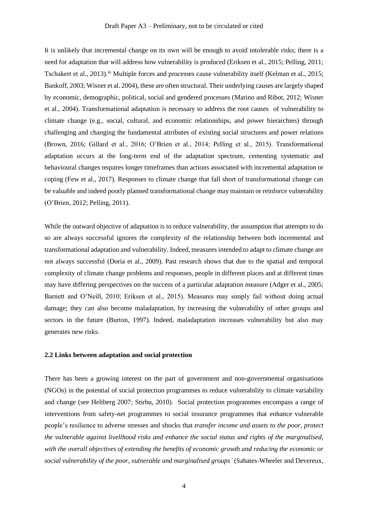It is unlikely that incremental change on its own will be enough to avoid intolerable risks; there is a need for adaptation that will address how vulnerability is produced (Eriksen et al., 2015; Pelling, 2011; Tschakert et al., 2013).<sup>iii</sup> Multiple forces and processes cause vulnerability itself (Kelman et al., 2015; Bankoff, 2003; Wisner et al. 2004), these are often structural. Their underlying causes are largely shaped by economic, demographic, political, social and gendered processes (Marino and Ribot, 2012; Wisner et al., 2004). Transformational adaptation is necessary to address the root causes of vulnerability to climate change (e.g., social, cultural, and economic relationships, and power hierarchies) through challenging and changing the fundamental attributes of existing social structures and power relations (Brown, 2016; Gillard et al., 2016; O'Brien et al., 2014; Pelling et al., 2015). Transformational adaptation occurs at the long-term end of the adaptation spectrum, cementing systematic and behavioural changes requires longer timeframes than actions associated with incremental adaptation or coping (Few et al., 2017). Responses to climate change that fall short of transformational change can be valuable and indeed poorly planned transformational change may maintain or reinforce vulnerability (O'Brien, 2012; Pelling, 2011).

While the outward objective of adaptation is to reduce vulnerability, the assumption that attempts to do so are always successful ignores the complexity of the relationship between both incremental and transformational adaptation and vulnerability. Indeed, measures intended to adapt to climate change are not always successful (Doria et al., 2009). Past research shows that due to the spatial and temporal complexity of climate change problems and responses, people in different places and at different times may have differing perspectives on the success of a particular adaptation measure (Adger et al., 2005; Barnett and O'Neill, 2010; Eriksen et al., 2015). Measures may simply fail without doing actual damage; they can also become maladaptation, by increasing the vulnerability of other groups and sectors in the future (Burton, 1997). Indeed, maladaptation increases vulnerability but also may generates new risks.

#### **2.2 Links between adaptation and social protection**

There has been a growing interest on the part of government and non-governmental organisations (NGOs) in the potential of social protection programmes to reduce vulnerability to climate variability and change (see Heltberg 2007; Stirbu, 2010). Social protection programmes encompass a range of interventions from safety-net programmes to social insurance programmes that enhance vulnerable people's resilience to adverse stresses and shocks that *transfer income and assets to the poor, protect the vulnerable against livelihood risks and enhance the social status and rights of the marginalised, with the overall objectives of extending the benefits of economic growth and reducing the economic or social vulnerability of the poor, vulnerable and marginalised groups'* (Sabates-Wheeler and Devereux,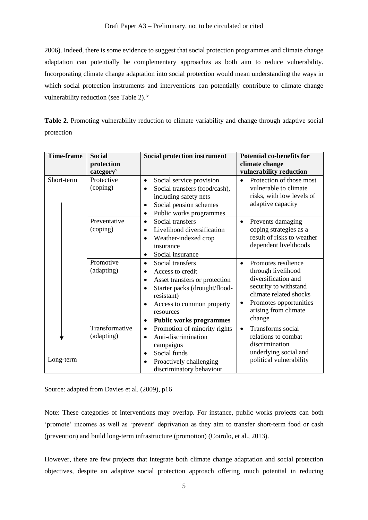2006). Indeed, there is some evidence to suggest that social protection programmes and climate change adaptation can potentially be complementary approaches as both aim to reduce vulnerability. Incorporating climate change adaptation into social protection would mean understanding the ways in which social protection instruments and interventions can potentially contribute to climate change vulnerability reduction (see Table 2).<sup>iv</sup>

**Table 2**. Promoting vulnerability reduction to climate variability and change through adaptive social protection

| <b>Time-frame</b> | <b>Social</b>                              | <b>Social protection instrument</b>                                                                                                                                                                                                     | <b>Potential co-benefits for</b>                                                                                                                                                             |
|-------------------|--------------------------------------------|-----------------------------------------------------------------------------------------------------------------------------------------------------------------------------------------------------------------------------------------|----------------------------------------------------------------------------------------------------------------------------------------------------------------------------------------------|
|                   | protection<br>category <sup><i>v</i></sup> |                                                                                                                                                                                                                                         | climate change<br>vulnerability reduction                                                                                                                                                    |
| Short-term        | Protective<br>(coping)                     | Social service provision<br>$\bullet$<br>Social transfers (food/cash),<br>including safety nets<br>Social pension schemes<br>Public works programmes                                                                                    | Protection of those most<br>$\bullet$<br>vulnerable to climate<br>risks, with low levels of<br>adaptive capacity                                                                             |
|                   | Preventative<br>(coping)                   | Social transfers<br>$\bullet$<br>Livelihood diversification<br>$\bullet$<br>Weather-indexed crop<br>$\bullet$<br>insurance<br>Social insurance                                                                                          | Prevents damaging<br>$\bullet$<br>coping strategies as a<br>result of risks to weather<br>dependent livelihoods                                                                              |
|                   | Promotive<br>(adapting)                    | Social transfers<br>$\bullet$<br>Access to credit<br>$\bullet$<br>Asset transfers or protection<br>$\bullet$<br>Starter packs (drought/flood-<br>resistant)<br>Access to common property<br>resources<br><b>Public works programmes</b> | Promotes resilience<br>$\bullet$<br>through livelihood<br>diversification and<br>security to withstand<br>climate related shocks<br>Promotes opportunities<br>arising from climate<br>change |
| Long-term         | Transformative<br>(adapting)               | Promotion of minority rights<br>$\bullet$<br>Anti-discrimination<br>$\bullet$<br>campaigns<br>Social funds<br>Proactively challenging<br>discriminatory behaviour                                                                       | Transforms social<br>$\bullet$<br>relations to combat<br>discrimination<br>underlying social and<br>political vulnerability                                                                  |

Source: adapted from Davies et al. (2009), p16

Note: These categories of interventions may overlap. For instance, public works projects can both 'promote' incomes as well as 'prevent' deprivation as they aim to transfer short-term food or cash (prevention) and build long-term infrastructure (promotion) (Coirolo, et al., 2013).

However, there are few projects that integrate both climate change adaptation and social protection objectives, despite an adaptive social protection approach offering much potential in reducing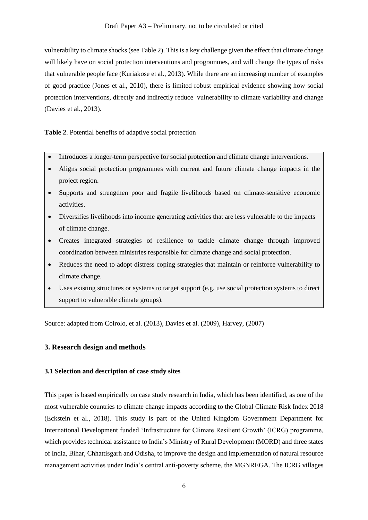vulnerability to climate shocks (see Table 2). This is a key challenge given the effect that climate change will likely have on social protection interventions and programmes, and will change the types of risks that vulnerable people face (Kuriakose et al., 2013). While there are an increasing number of examples of good practice (Jones et al., 2010), there is limited robust empirical evidence showing how social protection interventions, directly and indirectly reduce vulnerability to climate variability and change (Davies et al., 2013).

**Table 2**. Potential benefits of adaptive social protection

- Introduces a longer-term perspective for social protection and climate change interventions.
- Aligns social protection programmes with current and future climate change impacts in the project region.
- Supports and strengthen poor and fragile livelihoods based on climate-sensitive economic activities.
- Diversifies livelihoods into income generating activities that are less vulnerable to the impacts of climate change.
- Creates integrated strategies of resilience to tackle climate change through improved coordination between ministries responsible for climate change and social protection.
- Reduces the need to adopt distress coping strategies that maintain or reinforce vulnerability to climate change.
- Uses existing structures or systems to target support (e.g. use social protection systems to direct support to vulnerable climate groups).

Source: adapted from Coirolo, et al. (2013), Davies et al. (2009), Harvey, (2007)

# **3. Research design and methods**

# **3.1 Selection and description of case study sites**

This paper is based empirically on case study research in India, which has been identified, as one of the most vulnerable countries to climate change impacts according to the Global Climate Risk Index 2018 (Eckstein et al., 2018). This study is part of the United Kingdom Government Department for International Development funded 'Infrastructure for Climate Resilient Growth' (ICRG) programme, which provides technical assistance to India's Ministry of Rural Development (MORD) and three states of India, Bihar, Chhattisgarh and Odisha, to improve the design and implementation of natural resource management activities under India's central anti-poverty scheme, the MGNREGA. The ICRG villages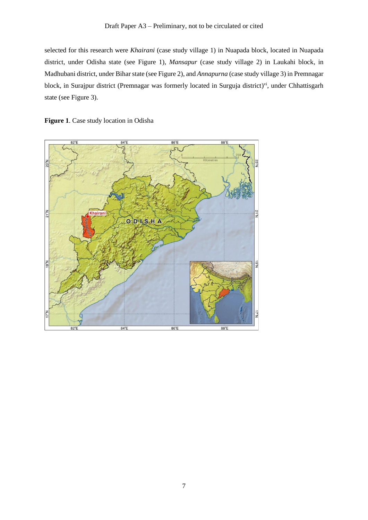selected for this research were *Khairani* (case study village 1) in Nuapada block, located in Nuapada district, under Odisha state (see Figure 1), *Mansapur* (case study village 2) in Laukahi block, in Madhubani district, under Bihar state (see Figure 2), and *Annapurna* (case study village 3) in Premnagar block, in Surajpur district (Premnagar was formerly located in Surguja district)<sup>vi</sup>, under Chhattisgarh state (see Figure 3).



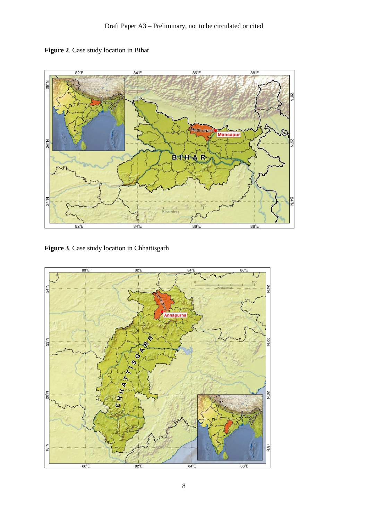



**Figure 3**. Case study location in Chhattisgarh

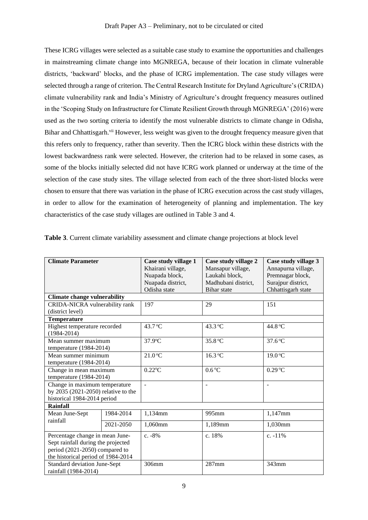These ICRG villages were selected as a suitable case study to examine the opportunities and challenges in mainstreaming climate change into MGNREGA, because of their location in climate vulnerable districts, 'backward' blocks, and the phase of ICRG implementation. The case study villages were selected through a range of criterion. The Central Research Institute for Dryland Agriculture's (CRIDA) climate vulnerability rank and India's Ministry of Agriculture's drought frequency measures outlined in the 'Scoping Study on Infrastructure for Climate Resilient Growth through MGNREGA' (2016) were used as the two sorting criteria to identify the most vulnerable districts to climate change in Odisha, Bihar and Chhattisgarh.<sup>vii</sup> However, less weight was given to the drought frequency measure given that this refers only to frequency, rather than severity. Then the ICRG block within these districts with the lowest backwardness rank were selected. However, the criterion had to be relaxed in some cases, as some of the blocks initially selected did not have ICRG work planned or underway at the time of the selection of the case study sites. The village selected from each of the three short-listed blocks were chosen to ensure that there was variation in the phase of ICRG execution across the cast study villages, in order to allow for the examination of heterogeneity of planning and implementation. The key characteristics of the case study villages are outlined in Table 3 and 4.

| <b>Climate Parameter</b>            |           | Case study village 1  | Case study village 2 | Case study village 3 |
|-------------------------------------|-----------|-----------------------|----------------------|----------------------|
|                                     |           | Khairani village,     | Mansapur village,    | Annapurna village,   |
|                                     |           | Nuapada block,        | Laukahi block,       | Premnagar block,     |
|                                     |           | Nuapada district,     | Madhubani district,  | Surajpur district,   |
|                                     |           | Odisha state          | <b>Bihar</b> state   | Chhattisgarh state   |
| <b>Climate change vulnerability</b> |           |                       |                      |                      |
| CRIDA-NICRA vulnerability rank      |           | 197                   | 29                   | 151                  |
| (district level)                    |           |                       |                      |                      |
| <b>Temperature</b>                  |           |                       |                      |                      |
| Highest temperature recorded        |           | 43.7 °C               | 43.3 °C              | 44.8 °C              |
| $(1984 - 2014)$                     |           |                       |                      |                      |
| Mean summer maximum                 |           | 37.9°C                | 35.8 °C              | $37.6$ °C            |
| temperature (1984-2014)             |           |                       |                      |                      |
| Mean summer minimum                 |           | $21.0$ °C             | 16.3 °C              | 19.0 °C              |
| temperature $(1984-2014)$           |           |                       |                      |                      |
| Change in mean maximum              |           | $0.22$ <sup>o</sup> C | $0.6^{\circ}$ C      | $0.29$ °C            |
| temperature (1984-2014)             |           |                       |                      |                      |
| Change in maximum temperature       |           | $\overline{a}$        | ÷.                   |                      |
| by 2035 (2021-2050) relative to the |           |                       |                      |                      |
| historical 1984-2014 period         |           |                       |                      |                      |
| <b>Rainfall</b>                     |           |                       |                      |                      |
| Mean June-Sept                      | 1984-2014 | 1,134mm               | 995mm                | 1,147mm              |
| rainfall                            | 2021-2050 | 1,060mm               | 1,189mm              | 1,030mm              |
| Percentage change in mean June-     |           | $c. -8%$              | c. 18%               | c. $-11%$            |
| Sept rainfall during the projected  |           |                       |                      |                      |
| period (2021-2050) compared to      |           |                       |                      |                      |
| the historical period of 1984-2014  |           |                       |                      |                      |
| <b>Standard deviation June-Sept</b> |           | 306mm                 | 287mm                | 343mm                |
| rainfall (1984-2014)                |           |                       |                      |                      |

**Table 3**. Current climate variability assessment and climate change projections at block level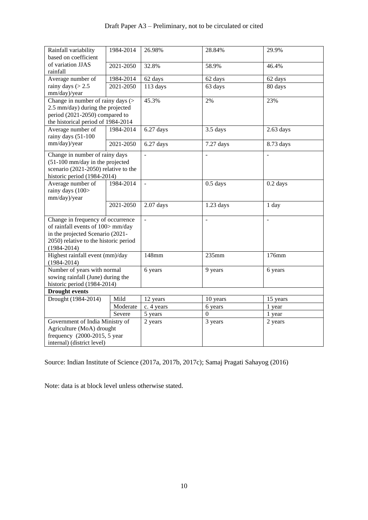# Draft Paper A3 – Preliminary, not to be circulated or cited

| Rainfall variability<br>based on coefficient | 1984-2014 | 26.98%         | 28.84%         | 29.9%         |  |  |
|----------------------------------------------|-----------|----------------|----------------|---------------|--|--|
| of variation JJAS                            |           |                |                |               |  |  |
| rainfall                                     | 2021-2050 | 32.8%          | 58.9%          | 46.4%         |  |  |
| Average number of                            | 1984-2014 | 62 days        | 62 days        | 62 days       |  |  |
| rainy days $(> 2.5)$                         | 2021-2050 | 113 days       | 63 days        | 80 days       |  |  |
| mm/day)/year                                 |           |                |                |               |  |  |
| Change in number of rainy days $($           |           | 45.3%          | 2%             | 23%           |  |  |
| 2.5 mm/day) during the projected             |           |                |                |               |  |  |
| period (2021-2050) compared to               |           |                |                |               |  |  |
| the historical period of 1984-2014           |           |                |                |               |  |  |
| Average number of                            | 1984-2014 | 6.27 days      | 3.5 days       | $2.63$ days   |  |  |
| rainy days (51-100                           |           |                |                |               |  |  |
| mm/day)/year                                 | 2021-2050 | $6.27$ days    | 7.27 days      | 8.73 days     |  |  |
|                                              |           |                |                |               |  |  |
| Change in number of rainy days               |           | $\overline{a}$ | $\overline{a}$ |               |  |  |
| (51-100 mm/day in the projected              |           |                |                |               |  |  |
| scenario (2021-2050) relative to the         |           |                |                |               |  |  |
| historic period (1984-2014)                  |           |                |                |               |  |  |
| Average number of                            | 1984-2014 | $\mathbb{L}$   | $0.5$ days     | $0.2$ days    |  |  |
| rainy days (100>                             |           |                |                |               |  |  |
| mm/day)/year                                 |           |                |                |               |  |  |
|                                              | 2021-2050 | $2.07$ days    | $1.23$ days    | 1 day         |  |  |
|                                              |           |                |                |               |  |  |
| Change in frequency of occurrence            |           | $\frac{1}{2}$  | $\overline{a}$ | $\frac{1}{2}$ |  |  |
| of rainfall events of 100> mm/day            |           |                |                |               |  |  |
| in the projected Scenario (2021-             |           |                |                |               |  |  |
| 2050) relative to the historic period        |           |                |                |               |  |  |
| $(1984 - 2014)$                              |           |                |                |               |  |  |
| Highest rainfall event (mm)/day              |           | 148mm          | 235mm          | 176mm         |  |  |
| $(1984 - 2014)$                              |           |                |                |               |  |  |
| Number of years with normal                  |           | 6 years        | 9 years        | 6 years       |  |  |
| sowing rainfall (June) during the            |           |                |                |               |  |  |
| historic period (1984-2014)                  |           |                |                |               |  |  |
| <b>Drought events</b>                        |           |                |                |               |  |  |
| Drought (1984-2014)                          | Mild      | 12 years       | 10 years       | 15 years      |  |  |
|                                              | Moderate  | c. 4 years     | 6 years        | 1 year        |  |  |
| Severe                                       |           | 5 years        | $\Omega$       | 1 year        |  |  |
| Government of India Ministry of              |           | 2 years        | 3 years        | 2 years       |  |  |
| Agriculture (MoA) drought                    |           |                |                |               |  |  |
| frequency $(2000-2015, 5$ year               |           |                |                |               |  |  |
| internal) (district level)                   |           |                |                |               |  |  |
|                                              |           |                |                |               |  |  |

Source: Indian Institute of Science (2017a, 2017b, 2017c); Samaj Pragati Sahayog (2016)

Note: data is at block level unless otherwise stated.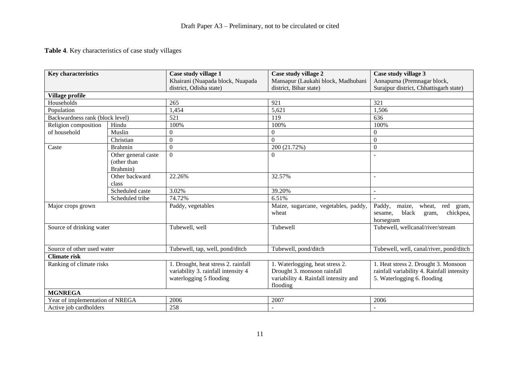# **Table 4**. Key characteristics of case study villages

| <b>Key characteristics</b>      |                                                | Case study village 1                                                                                  | Case study village 2                                                                                                | Case study village 3                                                                                              |
|---------------------------------|------------------------------------------------|-------------------------------------------------------------------------------------------------------|---------------------------------------------------------------------------------------------------------------------|-------------------------------------------------------------------------------------------------------------------|
|                                 |                                                | Khairani (Nuapada block, Nuapada                                                                      | Mansapur (Laukahi block, Madhubani                                                                                  | Annapurna (Premnagar block,                                                                                       |
|                                 |                                                | district, Odisha state)                                                                               | district, Bihar state)                                                                                              | Surajpur district, Chhattisgarh state)                                                                            |
| Village profile                 |                                                |                                                                                                       |                                                                                                                     |                                                                                                                   |
| Households                      |                                                | 265                                                                                                   | 921                                                                                                                 | 321                                                                                                               |
| Population                      |                                                | 1,454                                                                                                 | 5,621                                                                                                               | 1,506                                                                                                             |
| Backwardness rank (block level) |                                                | 521                                                                                                   | 119                                                                                                                 | 636                                                                                                               |
| Religion composition            | Hindu                                          | 100%                                                                                                  | 100%                                                                                                                | 100%                                                                                                              |
| of household                    | Muslin                                         | $\mathbf{0}$                                                                                          | $\boldsymbol{0}$                                                                                                    | $\mathbf{0}$                                                                                                      |
|                                 | Christian                                      | $\boldsymbol{0}$                                                                                      | $\Omega$                                                                                                            | $\mathbf{0}$                                                                                                      |
| Caste                           | <b>Brahmin</b>                                 | $\boldsymbol{0}$                                                                                      | 200 (21.72%)                                                                                                        | $\boldsymbol{0}$                                                                                                  |
|                                 | Other general caste<br>(other than<br>Brahmin) | $\overline{0}$                                                                                        | $\overline{0}$                                                                                                      | $\overline{a}$                                                                                                    |
|                                 | Other backward<br>class                        | 22.26%                                                                                                | 32.57%                                                                                                              | $\overline{a}$                                                                                                    |
|                                 | Scheduled caste                                | 3.02%                                                                                                 | 39.20%                                                                                                              | $\sim$                                                                                                            |
|                                 | Scheduled tribe                                | 74.72%                                                                                                | 6.51%                                                                                                               |                                                                                                                   |
| Major crops grown               |                                                | Paddy, vegetables                                                                                     | Maize, sugarcane, vegetables, paddy,<br>wheat                                                                       | Paddy,<br>maize,<br>wheat,<br>red<br>gram,<br>black<br>chickpea,<br>sesame,<br>gram,<br>horsegram                 |
| Source of drinking water        |                                                | Tubewell, well                                                                                        | Tubewell                                                                                                            | Tubewell, wellcanal/river/stream                                                                                  |
| Source of other used water      |                                                | Tubewell, tap, well, pond/ditch                                                                       | Tubewell, pond/ditch                                                                                                | Tubewell, well, canal/river, pond/ditch                                                                           |
| <b>Climate risk</b>             |                                                |                                                                                                       |                                                                                                                     |                                                                                                                   |
| Ranking of climate risks        |                                                | 1. Drought, heat stress 2. rainfall<br>variability 3. rainfall intensity 4<br>waterlogging 5 flooding | 1. Waterlogging, heat stress 2.<br>Drought 3. monsoon rainfall<br>variability 4. Rainfall intensity and<br>flooding | 1. Heat stress 2. Drought 3. Monsoon<br>rainfall variability 4. Rainfall intensity<br>5. Waterlogging 6. flooding |
| <b>MGNREGA</b>                  |                                                |                                                                                                       |                                                                                                                     |                                                                                                                   |
| Year of implementation of NREGA |                                                | 2006                                                                                                  | 2007                                                                                                                | 2006                                                                                                              |
| Active job cardholders          |                                                | 258                                                                                                   |                                                                                                                     | $\overline{a}$                                                                                                    |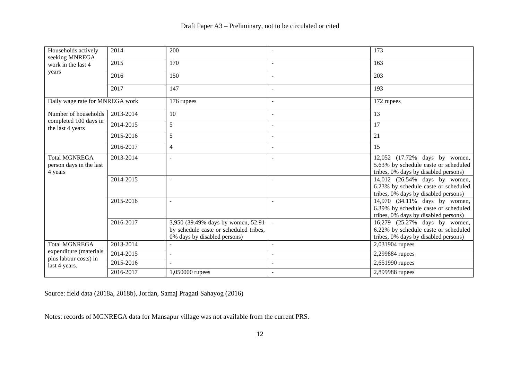| Households actively<br>seeking MNREGA<br>work in the last 4<br>years | 2014      | 200                                                                                                          |                | 173                                                                                                           |
|----------------------------------------------------------------------|-----------|--------------------------------------------------------------------------------------------------------------|----------------|---------------------------------------------------------------------------------------------------------------|
|                                                                      | 2015      | 170                                                                                                          | $\sim$         | 163                                                                                                           |
|                                                                      | 2016      | 150                                                                                                          | $\sim$         | 203                                                                                                           |
|                                                                      | 2017      | 147                                                                                                          |                | 193                                                                                                           |
| Daily wage rate for MNREGA work                                      |           | 176 rupees                                                                                                   | $\overline{a}$ | 172 rupees                                                                                                    |
| Number of households                                                 | 2013-2014 | 10                                                                                                           | $\blacksquare$ | 13                                                                                                            |
| completed 100 days in<br>the last 4 years                            | 2014-2015 | 5                                                                                                            | $\sim$         | 17                                                                                                            |
|                                                                      | 2015-2016 | 5                                                                                                            |                | 21                                                                                                            |
|                                                                      | 2016-2017 | 4                                                                                                            |                | 15                                                                                                            |
| <b>Total MGNREGA</b><br>person days in the last<br>4 years           | 2013-2014 |                                                                                                              |                | 12,052 (17.72% days by women,<br>5.63% by schedule caste or scheduled<br>tribes, 0% days by disabled persons) |
|                                                                      | 2014-2015 |                                                                                                              |                | 14,012 (26.54% days by women,<br>6.23% by schedule caste or scheduled<br>tribes, 0% days by disabled persons) |
|                                                                      | 2015-2016 |                                                                                                              |                | 14,970 (34.11% days by women,<br>6.39% by schedule caste or scheduled<br>tribes, 0% days by disabled persons) |
|                                                                      | 2016-2017 | 3,950 (39.49% days by women, 52.91<br>by schedule caste or scheduled tribes,<br>0% days by disabled persons) |                | 16,279 (25.27% days by women,<br>6.22% by schedule caste or scheduled<br>tribes, 0% days by disabled persons) |
| <b>Total MGNREGA</b>                                                 | 2013-2014 |                                                                                                              | ÷,             | 2,031904 rupees                                                                                               |
| expenditure (materials<br>plus labour costs) in                      | 2014-2015 |                                                                                                              |                | 2,299884 rupees                                                                                               |
| last 4 years.                                                        | 2015-2016 |                                                                                                              |                | 2,651990 rupees                                                                                               |
|                                                                      | 2016-2017 | 1,050000 rupees                                                                                              |                | 2,899988 rupees                                                                                               |

Source: field data (2018a, 2018b), Jordan, Samaj Pragati Sahayog (2016)

Notes: records of MGNREGA data for Mansapur village was not available from the current PRS.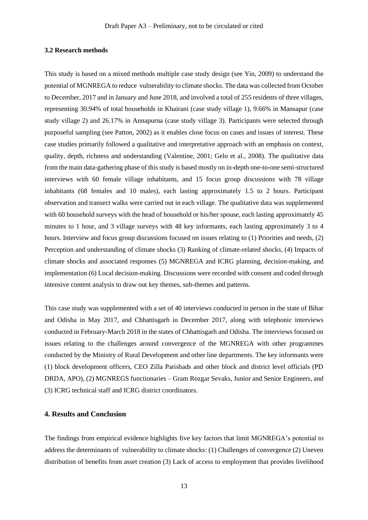### **3.2 Research methods**

This study is based on a mixed methods multiple case study design (see Yin, 2009) to understand the potential of MGNREGA to reduce vulnerability to climate shocks. The data was collected from October to December, 2017 and in January and June 2018, and involved a total of 255 residents of three villages, representing 30.94% of total households in Khairani (case study village 1), 9.66% in Mansapur (case study village 2) and 26.17% in Annapurna (case study village 3). Participants were selected through purposeful sampling (see Patton, 2002) as it enables close focus on cases and issues of interest. These case studies primarily followed a qualitative and interpretative approach with an emphasis on context, quality, depth, richness and understanding (Valentine, 2001; Gelo et al., 2008). The qualitative data from the main data-gathering phase of this study is based mostly on in-depth one-to-one semi-structured interviews with 60 female village inhabitants, and 15 focus group discussions with 78 village inhabitants (68 females and 10 males), each lasting approximately 1.5 to 2 hours. Participant observation and transect walks were carried out in each village. The qualitative data was supplemented with 60 household surveys with the head of household or his/her spouse, each lasting approximately 45 minutes to 1 hour, and 3 village surveys with 48 key informants, each lasting approximately 3 to 4 hours. Interview and focus group discussions focused on issues relating to (1) Priorities and needs, (2) Perception and understanding of climate shocks (3) Ranking of climate-related shocks, (4) Impacts of climate shocks and associated responses (5) MGNREGA and ICRG planning, decision-making, and implementation (6) Local decision-making. Discussions were recorded with consent and coded through intensive content analysis to draw out key themes, sub-themes and patterns.

This case study was supplemented with a set of 40 interviews conducted in person in the state of Bihar and Odisha in May 2017, and Chhattisgarh in December 2017, along with telephonic interviews conducted in February-March 2018 in the states of Chhattisgarh and Odisha. The interviews focused on issues relating to the challenges around convergence of the MGNREGA with other programmes conducted by the Ministry of Rural Development and other line departments. The key informants were (1) block development officers, CEO Zilla Parishads and other block and district level officials (PD DRDA, APO), (2) MGNREGS functionaries – Gram Rozgar Sevaks, Junior and Senior Engineers, and (3) ICRG technical staff and ICRG district coordinators.

### **4. Results and Conclusion**

The findings from empirical evidence highlights five key factors that limit MGNREGA's potential to address the determinants of vulnerability to climate shocks: (1) Challenges of convergence (2) Uneven distribution of benefits from asset creation (3) Lack of access to employment that provides livelihood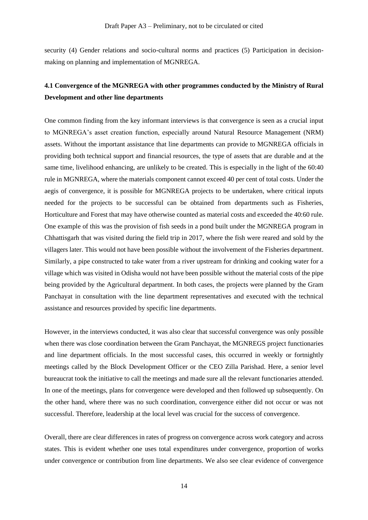security (4) Gender relations and socio-cultural norms and practices (5) Participation in decisionmaking on planning and implementation of MGNREGA.

# **4.1 Convergence of the MGNREGA with other programmes conducted by the Ministry of Rural Development and other line departments**

One common finding from the key informant interviews is that convergence is seen as a crucial input to MGNREGA's asset creation function, especially around Natural Resource Management (NRM) assets. Without the important assistance that line departments can provide to MGNREGA officials in providing both technical support and financial resources, the type of assets that are durable and at the same time, livelihood enhancing, are unlikely to be created. This is especially in the light of the 60:40 rule in MGNREGA, where the materials component cannot exceed 40 per cent of total costs. Under the aegis of convergence, it is possible for MGNREGA projects to be undertaken, where critical inputs needed for the projects to be successful can be obtained from departments such as Fisheries, Horticulture and Forest that may have otherwise counted as material costs and exceeded the 40:60 rule. One example of this was the provision of fish seeds in a pond built under the MGNREGA program in Chhattisgarh that was visited during the field trip in 2017, where the fish were reared and sold by the villagers later. This would not have been possible without the involvement of the Fisheries department. Similarly, a pipe constructed to take water from a river upstream for drinking and cooking water for a village which was visited in Odisha would not have been possible without the material costs of the pipe being provided by the Agricultural department. In both cases, the projects were planned by the Gram Panchayat in consultation with the line department representatives and executed with the technical assistance and resources provided by specific line departments.

However, in the interviews conducted, it was also clear that successful convergence was only possible when there was close coordination between the Gram Panchayat, the MGNREGS project functionaries and line department officials. In the most successful cases, this occurred in weekly or fortnightly meetings called by the Block Development Officer or the CEO Zilla Parishad. Here, a senior level bureaucrat took the initiative to call the meetings and made sure all the relevant functionaries attended. In one of the meetings, plans for convergence were developed and then followed up subsequently. On the other hand, where there was no such coordination, convergence either did not occur or was not successful. Therefore, leadership at the local level was crucial for the success of convergence.

Overall, there are clear differences in rates of progress on convergence across work category and across states. This is evident whether one uses total expenditures under convergence, proportion of works under convergence or contribution from line departments. We also see clear evidence of convergence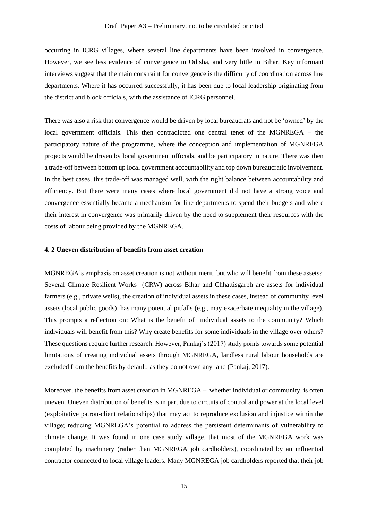occurring in ICRG villages, where several line departments have been involved in convergence. However, we see less evidence of convergence in Odisha, and very little in Bihar. Key informant interviews suggest that the main constraint for convergence is the difficulty of coordination across line departments. Where it has occurred successfully, it has been due to local leadership originating from the district and block officials, with the assistance of ICRG personnel.

There was also a risk that convergence would be driven by local bureaucrats and not be 'owned' by the local government officials. This then contradicted one central tenet of the MGNREGA – the participatory nature of the programme, where the conception and implementation of MGNREGA projects would be driven by local government officials, and be participatory in nature. There was then a trade-off between bottom up local government accountability and top down bureaucratic involvement. In the best cases, this trade-off was managed well, with the right balance between accountability and efficiency. But there were many cases where local government did not have a strong voice and convergence essentially became a mechanism for line departments to spend their budgets and where their interest in convergence was primarily driven by the need to supplement their resources with the costs of labour being provided by the MGNREGA.

#### **4. 2 Uneven distribution of benefits from asset creation**

MGNREGA's emphasis on asset creation is not without merit, but who will benefit from these assets? Several Climate Resilient Works (CRW) across Bihar and Chhattisgarph are assets for individual farmers (e.g., private wells), the creation of individual assets in these cases, instead of community level assets (local public goods), has many potential pitfalls (e.g., may exacerbate inequality in the village). This prompts a reflection on: What is the benefit of individual assets to the community? Which individuals will benefit from this? Why create benefits for some individuals in the village over others? These questions require further research. However, Pankaj's (2017) study points towards some potential limitations of creating individual assets through MGNREGA, landless rural labour households are excluded from the benefits by default, as they do not own any land (Pankaj, 2017).

Moreover, the benefits from asset creation in MGNREGA – whether individual or community, is often uneven. Uneven distribution of benefits is in part due to circuits of control and power at the local level (exploitative patron-client relationships) that may act to reproduce exclusion and injustice within the village; reducing MGNREGA's potential to address the persistent determinants of vulnerability to climate change. It was found in one case study village, that most of the MGNREGA work was completed by machinery (rather than MGNREGA job cardholders), coordinated by an influential contractor connected to local village leaders. Many MGNREGA job cardholders reported that their job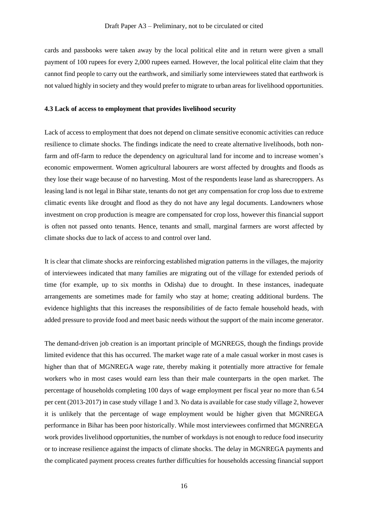cards and passbooks were taken away by the local political elite and in return were given a small payment of 100 rupees for every 2,000 rupees earned. However, the local political elite claim that they cannot find people to carry out the earthwork, and similiarly some interviewees stated that earthwork is not valued highly in society and they would prefer to migrate to urban areas for livelihood opportunities.

#### **4.3 Lack of access to employment that provides livelihood security**

Lack of access to employment that does not depend on climate sensitive economic activities can reduce resilience to climate shocks. The findings indicate the need to create alternative livelihoods, both nonfarm and off-farm to reduce the dependency on agricultural land for income and to increase women's economic empowerment. Women agricultural labourers are worst affected by droughts and floods as they lose their wage because of no harvesting. Most of the respondents lease land as sharecroppers. As leasing land is not legal in Bihar state, tenants do not get any compensation for crop loss due to extreme climatic events like drought and flood as they do not have any legal documents. Landowners whose investment on crop production is meagre are compensated for crop loss, however this financial support is often not passed onto tenants. Hence, tenants and small, marginal farmers are worst affected by climate shocks due to lack of access to and control over land.

It is clear that climate shocks are reinforcing established migration patterns in the villages, the majority of interviewees indicated that many families are migrating out of the village for extended periods of time (for example, up to six months in Odisha) due to drought. In these instances, inadequate arrangements are sometimes made for family who stay at home; creating additional burdens. The evidence highlights that this increases the responsibilities of de facto female household heads, with added pressure to provide food and meet basic needs without the support of the main income generator.

The demand-driven job creation is an important principle of MGNREGS, though the findings provide limited evidence that this has occurred. The market wage rate of a male casual worker in most cases is higher than that of MGNREGA wage rate, thereby making it potentially more attractive for female workers who in most cases would earn less than their male counterparts in the open market. The percentage of households completing 100 days of wage employment per fiscal year no more than 6.54 per cent (2013-2017) in case study village 1 and 3. No data is available for case study village 2, however it is unlikely that the percentage of wage employment would be higher given that MGNREGA performance in Bihar has been poor historically. While most interviewees confirmed that MGNREGA work provides livelihood opportunities, the number of workdays is not enough to reduce food insecurity or to increase resilience against the impacts of climate shocks. The delay in MGNREGA payments and the complicated payment process creates further difficulties for households accessing financial support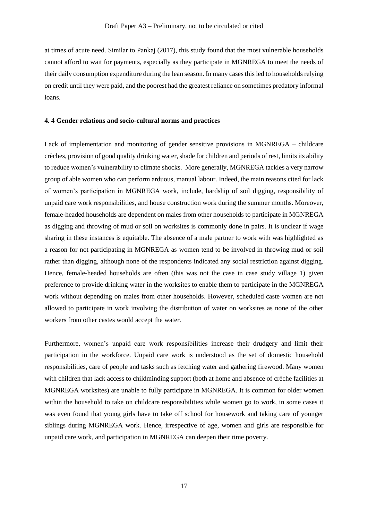at times of acute need. Similar to Pankaj (2017), this study found that the most vulnerable households cannot afford to wait for payments, especially as they participate in MGNREGA to meet the needs of their daily consumption expenditure during the lean season. In many cases this led to households relying on credit until they were paid, and the poorest had the greatest reliance on sometimes predatory informal loans.

### **4. 4 Gender relations and socio-cultural norms and practices**

Lack of implementation and monitoring of gender sensitive provisions in MGNREGA – childcare crèches, provision of good quality drinking water, shade for children and periods of rest, limitsits ability to reduce women's vulnerability to climate shocks. More generally, MGNREGA tackles a very narrow group of able women who can perform arduous, manual labour. Indeed, the main reasons cited for lack of women's participation in MGNREGA work, include, hardship of soil digging, responsibility of unpaid care work responsibilities, and house construction work during the summer months. Moreover, female-headed households are dependent on males from other households to participate in MGNREGA as digging and throwing of mud or soil on worksites is commonly done in pairs. It is unclear if wage sharing in these instances is equitable. The absence of a male partner to work with was highlighted as a reason for not participating in MGNREGA as women tend to be involved in throwing mud or soil rather than digging, although none of the respondents indicated any social restriction against digging. Hence, female-headed households are often (this was not the case in case study village 1) given preference to provide drinking water in the worksites to enable them to participate in the MGNREGA work without depending on males from other households. However, scheduled caste women are not allowed to participate in work involving the distribution of water on worksites as none of the other workers from other castes would accept the water.

Furthermore, women's unpaid care work responsibilities increase their drudgery and limit their participation in the workforce. Unpaid care work is understood as the set of domestic household responsibilities, care of people and tasks such as fetching water and gathering firewood. Many women with children that lack access to childminding support (both at home and absence of crèche facilities at MGNREGA worksites) are unable to fully participate in MGNREGA. It is common for older women within the household to take on childcare responsibilities while women go to work, in some cases it was even found that young girls have to take off school for housework and taking care of younger siblings during MGNREGA work. Hence, irrespective of age, women and girls are responsible for unpaid care work, and participation in MGNREGA can deepen their time poverty.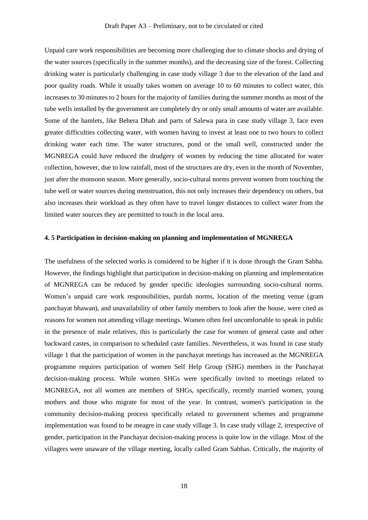Unpaid care work responsibilities are becoming more challenging due to climate shocks and drying of the water sources (specifically in the summer months), and the decreasing size of the forest. Collecting drinking water is particularly challenging in case study village 3 due to the elevation of the land and poor quality roads. While it usually takes women on average 10 to 60 minutes to collect water, this increases to 30 minutes to 2 hours for the majority of families during the summer months as most of the tube wells installed by the government are completely dry or only small amounts of water are available. Some of the hamlets, like Behera Dhab and parts of Salewa para in case study village 3, face even greater difficulties collecting water, with women having to invest at least one to two hours to collect drinking water each time. The water structures, pond or the small well, constructed under the MGNREGA could have reduced the drudgery of women by reducing the time allocated for water collection, however, due to low rainfall, most of the structures are dry, even in the month of November, just after the monsoon season. More generally, socio-cultural norms prevent women from touching the tube well or water sources during menstruation, this not only increases their dependency on others, but also increases their workload as they often have to travel longer distances to collect water from the limited water sources they are permitted to touch in the local area.

### **4. 5 Participation in decision-making on planning and implementation of MGNREGA**

The usefulness of the selected works is considered to be higher if it is done through the Gram Sabha. However, the findings highlight that participation in decision-making on planning and implementation of MGNREGA can be reduced by gender specific ideologies surrounding socio-cultural norms. Women's unpaid care work responsibilities, purdah norms, location of the meeting venue (gram panchayat bhawan), and unavailability of other family members to look after the house, were cited as reasons for women not attending village meetings. Women often feel uncomfortable to speak in public in the presence of male relatives, this is particularly the case for women of general caste and other backward castes, in comparison to scheduled caste families. Nevertheless, it was found in case study village 1 that the participation of women in the panchayat meetings has increased as the MGNREGA programme requires participation of women Self Help Group (SHG) members in the Panchayat decision-making process. While women SHGs were specifically invited to meetings related to MGNREGA, not all women are members of SHGs, specifically, recently married women, young mothers and those who migrate for most of the year. In contrast, women's participation in the community decision-making process specifically related to government schemes and programme implementation was found to be meagre in case study village 3. In case study village 2, irrespective of gender, participation in the Panchayat decision-making process is quite low in the village. Most of the villagers were unaware of the village meeting, locally called Gram Sabhas. Critically, the majority of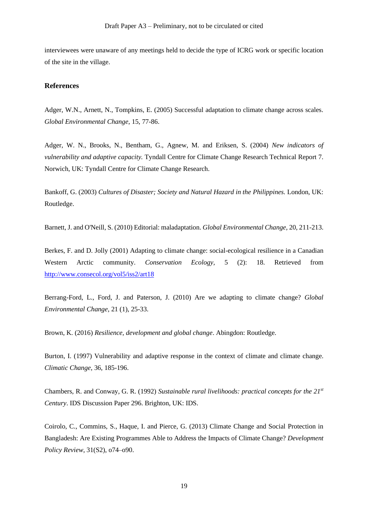interviewees were unaware of any meetings held to decide the type of ICRG work or specific location of the site in the village.

### **References**

Adger, W.N., Arnett, N., Tompkins, E. (2005) Successful adaptation to climate change across scales. *Global Environmental Change*, 15, 77-86.

Adger, W. N., Brooks, N., Bentham, G., Agnew, M. and Eriksen, S. (2004) *New indicators of vulnerability and adaptive capacity.* Tyndall Centre for Climate Change Research Technical Report 7. Norwich, UK: Tyndall Centre for Climate Change Research.

Bankoff, G. (2003) *Cultures of Disaster; Society and Natural Hazard in the Philippines.* London, UK: Routledge.

Barnett, J. and O'Neill, S. (2010) Editorial: maladaptation. *Global Environmental Change,* 20, 211-213.

Berkes, F. and D. Jolly (2001) Adapting to climate change: social-ecological resilience in a Canadian Western Arctic community. *Conservation Ecology,* 5 (2): 18. Retrieved from <http://www.consecol.org/vol5/iss2/art18>

Berrang-Ford, L., Ford, J. and Paterson, J. (2010) Are we adapting to climate change? *Global Environmental Change*, 21 (1), 25-33.

Brown, K. (2016) *Resilience, development and global change*. Abingdon: Routledge.

Burton, I. (1997) Vulnerability and adaptive response in the context of climate and climate change. *Climatic Change*, 36, 185-196.

Chambers, R. and Conway, G. R. (1992) *Sustainable rural livelihoods: practical concepts for the 21st Century*. IDS Discussion Paper 296. Brighton, UK: IDS.

Coirolo, C., Commins, S., Haque, I. and Pierce, G. (2013) Climate Change and Social Protection in Bangladesh: Are Existing Programmes Able to Address the Impacts of Climate Change? *Development Policy Review*, 31(S2), o74–o90.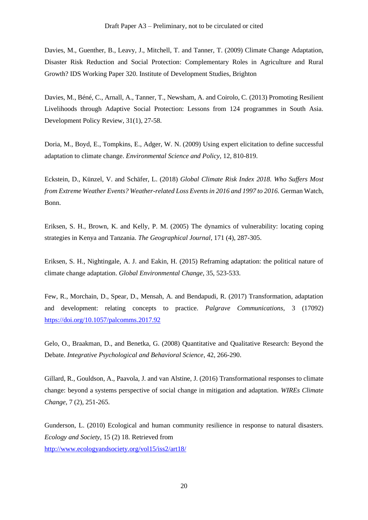Davies, M., Guenther, B., Leavy, J., Mitchell, T. and Tanner, T. (2009) Climate Change Adaptation, Disaster Risk Reduction and Social Protection: Complementary Roles in Agriculture and Rural Growth? IDS Working Paper 320. Institute of Development Studies, Brighton

Davies, M., Béné, C., Arnall, A., Tanner, T., Newsham, A. and Coirolo, C. (2013) Promoting Resilient Livelihoods through Adaptive Social Protection: Lessons from 124 programmes in South Asia. Development Policy Review, 31(1), 27-58.

Doria, M., Boyd, E., Tompkins, E., Adger, W. N. (2009) Using expert elicitation to define successful adaptation to climate change. *Environmental Science and Policy,* 12, 810-819.

Eckstein, D., Künzel, V. and Schäfer, L. (2018) *Global Climate Risk Index 2018. Who Suffers Most from Extreme Weather Events? Weather-related Loss Events in 2016 and 1997 to 2016.* German Watch, Bonn.

Eriksen, S. H., Brown, K. and Kelly, P. M. (2005) The dynamics of vulnerability: locating coping strategies in Kenya and Tanzania. *The Geographical Journal*, 171 (4), 287-305.

Eriksen, S. H., Nightingale, A. J. and Eakin, H. (2015) Reframing adaptation: the political nature of climate change adaptation. *Global Environmental Change*, 35, 523-533.

Few, R., Morchain, D., Spear, D., Mensah, A. and Bendapudi, R. (2017) Transformation, adaptation and development: relating concepts to practice. *Palgrave Communications*, 3 (17092) <https://doi.org/10.1057/palcomms.2017.92>

Gelo, O., Braakman, D., and Benetka, G. (2008) Quantitative and Qualitative Research: Beyond the Debate. *Integrative Psychological and Behavioral Science*, 42, 266-290.

Gillard, R., Gouldson, A., Paavola, J. and van Alstine, J. (2016) Transformational responses to climate change: beyond a systems perspective of social change in mitigation and adaptation. *WIREs Climate Change*, 7 (2), 251-265.

Gunderson, L. (2010) Ecological and human community resilience in response to natural disasters. *Ecology and Society*, 15 (2) 18. Retrieved from

<http://www.ecologyandsociety.org/vol15/iss2/art18/>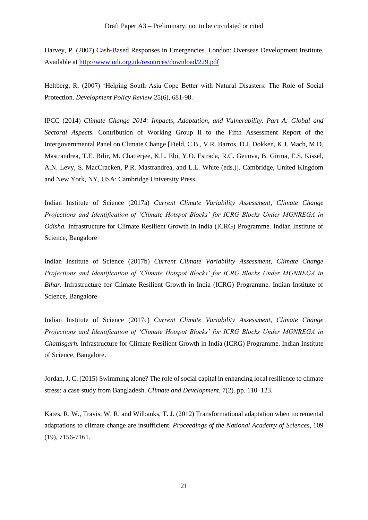Harvey, P. (2007) Cash-Based Responses in Emergencies. London: Overseas Development Institute. Available at<http://www.odi.org.uk/resources/download/229.pdf>

Heltberg, R. (2007) 'Helping South Asia Cope Better with Natural Disasters: The Role of Social Protection. *Development Policy Review* 25(6), 681-98.

IPCC (2014) *Climate Change 2014: Impacts, Adaptation, and Vulnerability. Part A: Global and Sectoral Aspects.* Contribution of Working Group II to the Fifth Assessment Report of the Intergovernmental Panel on Climate Change [Field, C.B., V.R. Barros, D.J. Dokken, K.J. Mach, M.D. Mastrandrea, T.E. Bilir, M. Chatterjee, K.L. Ebi, Y.O. Estrada, R.C. Genova, B. Girma, E.S. Kissel, A.N. Levy, S. MacCracken, P.R. Mastrandrea, and L.L. White (eds.)]. Cambridge, United Kingdom and New York, NY, USA: Cambridge University Press.

Indian Institute of Science (2017a) *Current Climate Variability Assessment, Climate Change Projections and Identification of 'Climate Hotspot Blocks' for ICRG Blocks Under MGNREGA in Odisha.* Infrastructure for Climate Resilient Growth in India (ICRG) Programme. Indian Institute of Science, Bangalore

Indian Institute of Science (2017b) *Current Climate Variability Assessment, Climate Change Projections and Identification of 'Climate Hotspot Blocks' for ICRG Blocks Under MGNREGA in Bihar.* Infrastructure for Climate Resilient Growth in India (ICRG) Programme. Indian Institute of Science, Bangalore

Indian Institute of Science (2017c) *Current Climate Variability Assessment, Climate Change Projections and Identification of 'Climate Hotspot Blocks' for ICRG Blocks Under MGNREGA in Chattisgarh.* Infrastructure for Climate Resilient Growth in India (ICRG) Programme. Indian Institute of Science, Bangalore.

Jordan, J. C. (2015) Swimming alone? The role of social capital in enhancing local resilience to climate stress: a case study from Bangladesh. *Climate and Development.* 7(2). pp. 110–123.

Kates, R. W., Travis, W. R. and Wilbanks, T. J. (2012) Transformational adaptation when incremental adaptations to climate change are insufficient. *Proceedings of the National Academy of Sciences*, 109 (19), 7156-7161.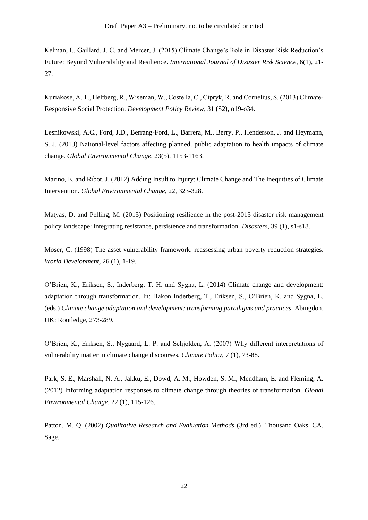Kelman, I., Gaillard, J. C. and Mercer, J. (2015) Climate Change's Role in Disaster Risk Reduction's Future: Beyond Vulnerability and Resilience. *International Journal of Disaster Risk Science*, 6(1), 21- 27.

Kuriakose, A. T., Heltberg, R., Wiseman, W., Costella, C., Cipryk, R. and Cornelius, S. (2013) Climate‐ Responsive Social Protection. *Development Policy Review*, 31 (S2), o19-o34.

Lesnikowski, A.C., Ford, J.D., Berrang-Ford, L., Barrera, M., Berry, P., Henderson, J. and Heymann, S. J. (2013) National-level factors affecting planned, public adaptation to health impacts of climate change. *Global Environmental Change*, 23(5), 1153-1163.

Marino, E. and Ribot, J. (2012) Adding Insult to Injury: Climate Change and The Inequities of Climate Intervention. *Global Environmental Change*, 22, 323-328.

Matyas, D. and Pelling, M. (2015) Positioning resilience in the post-2015 disaster risk management policy landscape: integrating resistance, persistence and transformation. *Disasters*, 39 (1), s1-s18.

Moser, C. (1998) The asset vulnerability framework: reassessing urban poverty reduction strategies. *World Development*, 26 (1), 1-19.

O'Brien, K., Eriksen, S., Inderberg, T. H. and Sygna, L. (2014) Climate change and development: adaptation through transformation. In: Håkon Inderberg, T., Eriksen, S., O'Brien, K. and Sygna, L. (eds.) *Climate change adaptation and development: transforming paradigms and practices*. Abingdon, UK: Routledge, 273-289.

O'Brien, K., Eriksen, S., Nygaard, L. P. and Schjolden, A. (2007) Why different interpretations of vulnerability matter in climate change discourses. *Climate Policy*, 7 (1), 73-88.

Park, S. E., Marshall, N. A., Jakku, E., Dowd, A. M., Howden, S. M., Mendham, E. and Fleming, A. (2012) Informing adaptation responses to climate change through theories of transformation. *Global Environmental Change*, 22 (1), 115-126.

Patton, M. Q. (2002) *Qualitative Research and Evaluation Methods* (3rd ed.). Thousand Oaks, CA, Sage.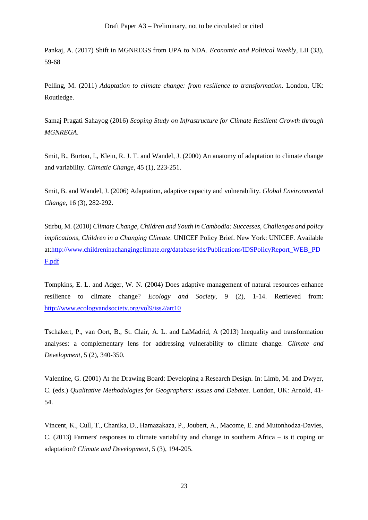Pankaj, A. (2017) Shift in MGNREGS from UPA to NDA. *Economic and Political Weekly*, LII (33), 59-68

Pelling, M. (2011) *Adaptation to climate change: from resilience to transformation*. London, UK: Routledge.

Samaj Pragati Sahayog (2016) *Scoping Study on Infrastructure for Climate Resilient Growth through MGNREGA*.

Smit, B., Burton, I., Klein, R. J. T. and Wandel, J. (2000) An anatomy of adaptation to climate change and variability. *Climatic Change*, 45 (1), 223-251.

Smit, B. and Wandel, J. (2006) Adaptation, adaptive capacity and vulnerability. *Global Environmental Change,* 16 (3), 282-292.

Stirbu, M. (2010) *Climate Change, Children and Youth in Cambodia: Successes, Challenges and policy implications, Children in a Changing Climate*. UNICEF Policy Brief. New York: UNICEF. Available at[:http://www.childreninachangingclimate.org/database/ids/Publications/IDSPolicyReport\\_WEB\\_PD](http://www.childreninachangingclimate.org/database/ids/Publications/IDSPolicyReport_WEB_PDF.pdf) [F.pdf](http://www.childreninachangingclimate.org/database/ids/Publications/IDSPolicyReport_WEB_PDF.pdf)

Tompkins, E. L. and Adger, W. N. (2004) Does adaptive management of natural resources enhance resilience to climate change? *Ecology and Society*, 9 (2), 1-14. Retrieved from: <http://www.ecologyandsociety.org/vol9/iss2/art10>

Tschakert, P., van Oort, B., St. Clair, A. L. and LaMadrid, A (2013) Inequality and transformation analyses: a complementary lens for addressing vulnerability to climate change. *Climate and Development*, 5 (2), 340-350.

Valentine, G. (2001) At the Drawing Board: Developing a Research Design. In: Limb, M. and Dwyer, C. (eds.) *Qualitative Methodologies for Geographers: Issues and Debates*. London, UK: Arnold, 41- 54.

Vincent, K., Cull, T., Chanika, D., Hamazakaza, P., Joubert, A., Macome, E. and Mutonhodza-Davies, C. (2013) Farmers' responses to climate variability and change in southern Africa – is it coping or adaptation? *Climate and Development*, 5 (3), 194-205.